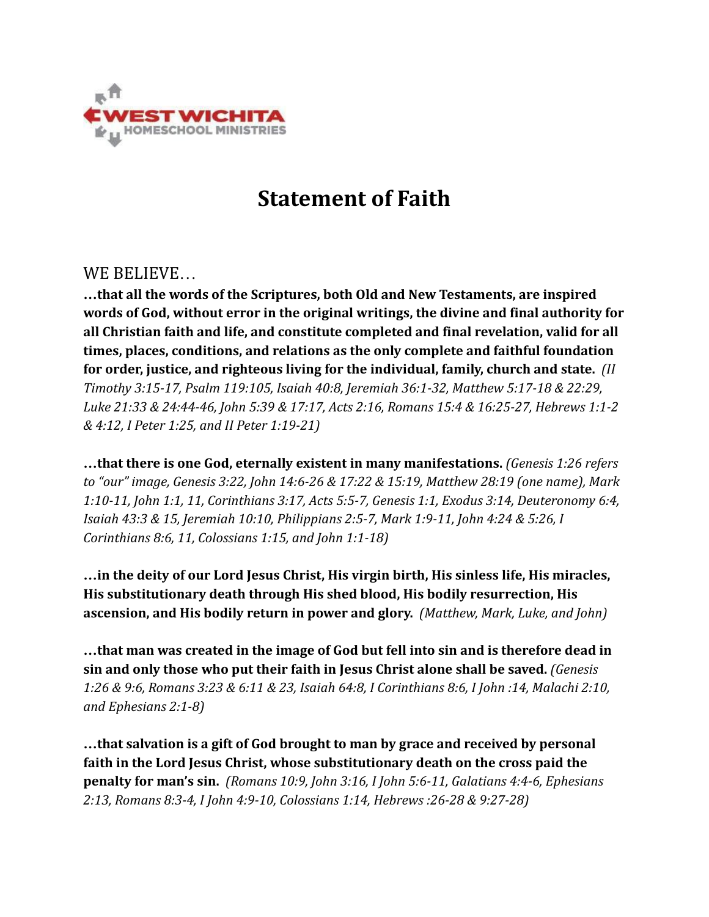

## **Statement of Faith**

## WE BELIEVE…

**…that all the words of the Scriptures, both Old and New Testaments, are inspired words of God, without error in the original writings, the divine and final authority for all Christian faith and life, and constitute completed and final revelation, valid for all times, places, conditions, and relations as the only complete and faithful foundation for order, justice, and righteous living for the individual, family, church and state.** *(II Timothy 3:15-17, Psalm 119:105, Isaiah 40:8, Jeremiah 36:1-32, Matthew 5:17-18 & 22:29, Luke 21:33 & 24:44-46, John 5:39 & 17:17, Acts 2:16, Romans 15:4 & 16:25-27, Hebrews 1:1-2 & 4:12, I Peter 1:25, and II Peter 1:19-21)*

*…***that there is one God, eternally existent in many manifestations.** *(Genesis 1:26 refers to "our" image, Genesis 3:22, John 14:6-26 & 17:22 & 15:19, Matthew 28:19 (one name), Mark 1:10-11, John 1:1, 11, Corinthians 3:17, Acts 5:5-7, Genesis 1:1, Exodus 3:14, Deuteronomy 6:4, Isaiah 43:3 & 15, Jeremiah 10:10, Philippians 2:5-7, Mark 1:9-11, John 4:24 & 5:26, I Corinthians 8:6, 11, Colossians 1:15, and John 1:1-18)*

**…in the deity of our Lord Jesus Christ, His virgin birth, His sinless life, His miracles, His substitutionary death through His shed blood, His bodily resurrection, His ascension, and His bodily return in power and glory.** *(Matthew, Mark, Luke, and John)*

**…that man was created in the image of God but fell into sin and is therefore dead in sin and only those who put their faith in Jesus Christ alone shall be saved.** *(Genesis 1:26 & 9:6, Romans 3:23 & 6:11 & 23, Isaiah 64:8, I Corinthians 8:6, I John :14, Malachi 2:10, and Ephesians 2:1-8)*

**…that salvation is a gift of God brought to man by grace and received by personal faith in the Lord Jesus Christ, whose substitutionary death on the cross paid the penalty for man's sin.** *(Romans 10:9, John 3:16, I John 5:6-11, Galatians 4:4-6, Ephesians 2:13, Romans 8:3-4, I John 4:9-10, Colossians 1:14, Hebrews :26-28 & 9:27-28)*